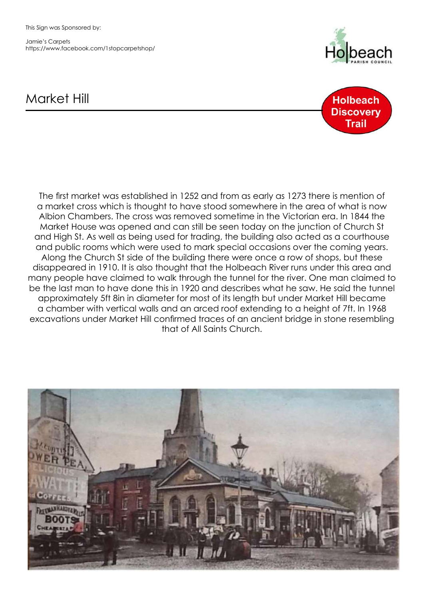This Sign was Sponsored by:

Jamie's Carpets https://www.facebook.com/1stopcarpetshop/



## Market Hill



The first market was established in 1252 and from as early as 1273 there is mention of a market cross which is thought to have stood somewhere in the area of what is now Albion Chambers. The cross was removed sometime in the Victorian era. In 1844 the Market House was opened and can still be seen today on the junction of Church St and High St. As well as being used for trading, the building also acted as a courthouse and public rooms which were used to mark special occasions over the coming years. Along the Church St side of the building there were once a row of shops, but these disappeared in 1910. It is also thought that the Holbeach River runs under this area and many people have claimed to walk through the tunnel for the river. One man claimed to be the last man to have done this in 1920 and describes what he saw. He said the tunnel approximately 5ft 8in in diameter for most of its length but under Market Hill became a chamber with vertical walls and an arced roof extending to a height of 7ft. In 1968 excavations under Market Hill confirmed traces of an ancient bridge in stone resembling that of All Saints Church.